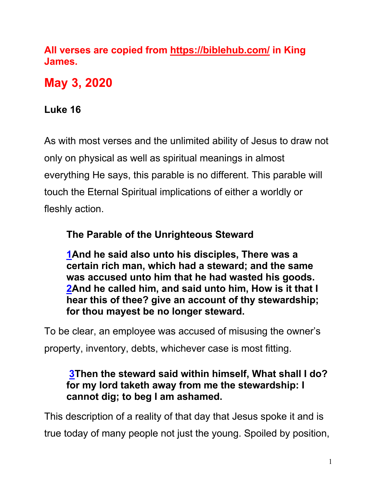**All verses are copied from https://biblehub.com/ in King James.** 

**May 3, 2020**

# **Luke 16**

As with most verses and the unlimited ability of Jesus to draw not only on physical as well as spiritual meanings in almost everything He says, this parable is no different. This parable will touch the Eternal Spiritual implications of either a worldly or fleshly action.

# **The Parable of the Unrighteous Steward**

**1And he said also unto his disciples, There was a certain rich man, which had a steward; and the same was accused unto him that he had wasted his goods. 2And he called him, and said unto him, How is it that I hear this of thee? give an account of thy stewardship; for thou mayest be no longer steward.**

To be clear, an employee was accused of misusing the owner's property, inventory, debts, whichever case is most fitting.

## **3Then the steward said within himself, What shall I do? for my lord taketh away from me the stewardship: I cannot dig; to beg I am ashamed.**

This description of a reality of that day that Jesus spoke it and is true today of many people not just the young. Spoiled by position,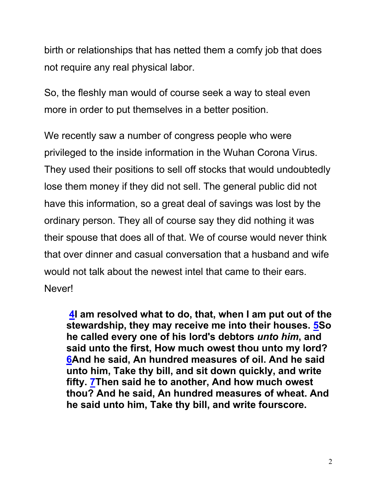birth or relationships that has netted them a comfy job that does not require any real physical labor.

So, the fleshly man would of course seek a way to steal even more in order to put themselves in a better position.

We recently saw a number of congress people who were privileged to the inside information in the Wuhan Corona Virus. They used their positions to sell off stocks that would undoubtedly lose them money if they did not sell. The general public did not have this information, so a great deal of savings was lost by the ordinary person. They all of course say they did nothing it was their spouse that does all of that. We of course would never think that over dinner and casual conversation that a husband and wife would not talk about the newest intel that came to their ears. Never!

**4I am resolved what to do, that, when I am put out of the stewardship, they may receive me into their houses. 5So he called every one of his lord's debtors** *unto him***, and said unto the first, How much owest thou unto my lord? 6And he said, An hundred measures of oil. And he said unto him, Take thy bill, and sit down quickly, and write fifty. 7Then said he to another, And how much owest thou? And he said, An hundred measures of wheat. And he said unto him, Take thy bill, and write fourscore.**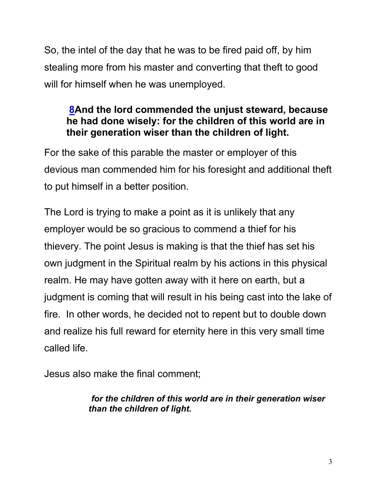So, the intel of the day that he was to be fired paid off, by him stealing more from his master and converting that theft to good will for himself when he was unemployed.

## **8And the lord commended the unjust steward, because he had done wisely: for the children of this world are in their generation wiser than the children of light.**

For the sake of this parable the master or employer of this devious man commended him for his foresight and additional theft to put himself in a better position.

The Lord is trying to make a point as it is unlikely that any employer would be so gracious to commend a thief for his thievery. The point Jesus is making is that the thief has set his own judgment in the Spiritual realm by his actions in this physical realm. He may have gotten away with it here on earth, but a judgment is coming that will result in his being cast into the lake of fire. In other words, he decided not to repent but to double down and realize his full reward for eternity here in this very small time called life.

Jesus also make the final comment;

### *for the children of this world are in their generation wiser than the children of light.*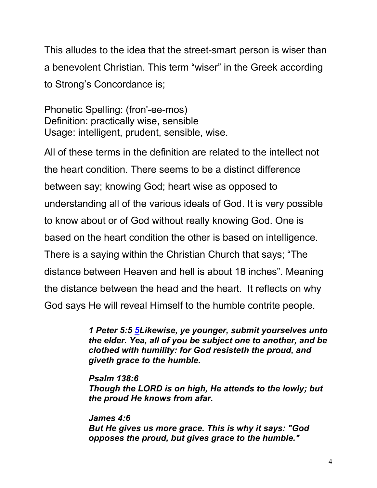This alludes to the idea that the street-smart person is wiser than a benevolent Christian. This term "wiser" in the Greek according to Strong's Concordance is;

Phonetic Spelling: (fron'-ee-mos) Definition: practically wise, sensible Usage: intelligent, prudent, sensible, wise.

All of these terms in the definition are related to the intellect not the heart condition. There seems to be a distinct difference between say; knowing God; heart wise as opposed to understanding all of the various ideals of God. It is very possible to know about or of God without really knowing God. One is based on the heart condition the other is based on intelligence. There is a saying within the Christian Church that says; "The distance between Heaven and hell is about 18 inches". Meaning the distance between the head and the heart. It reflects on why God says He will reveal Himself to the humble contrite people.

> *1 Peter 5:5 5Likewise, ye younger, submit yourselves unto the elder. Yea, all of you be subject one to another, and be clothed with humility: for God resisteth the proud, and giveth grace to the humble.*

*Psalm 138:6 Though the LORD is on high, He attends to the lowly; but the proud He knows from afar.*

*James 4:6 But He gives us more grace. This is why it says: "God opposes the proud, but gives grace to the humble."*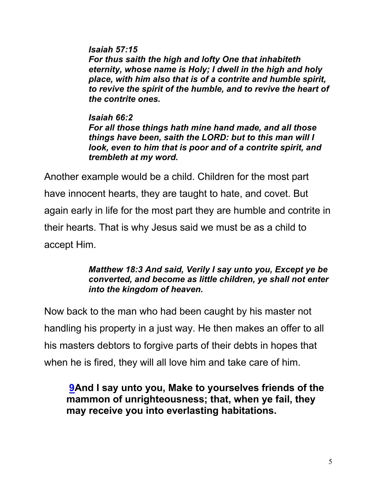*Isaiah 57:15 For thus saith the high and lofty One that inhabiteth eternity, whose name is Holy; I dwell in the high and holy place, with him also that is of a contrite and humble spirit, to revive the spirit of the humble, and to revive the heart of the contrite ones.*

*Isaiah 66:2 For all those things hath mine hand made, and all those things have been, saith the LORD: but to this man will I look, even to him that is poor and of a contrite spirit, and trembleth at my word.*

Another example would be a child. Children for the most part have innocent hearts, they are taught to hate, and covet. But again early in life for the most part they are humble and contrite in their hearts. That is why Jesus said we must be as a child to accept Him.

#### *Matthew 18:3 And said, Verily I say unto you, Except ye be converted, and become as little children, ye shall not enter into the kingdom of heaven.*

Now back to the man who had been caught by his master not handling his property in a just way. He then makes an offer to all his masters debtors to forgive parts of their debts in hopes that when he is fired, they will all love him and take care of him.

**9And I say unto you, Make to yourselves friends of the mammon of unrighteousness; that, when ye fail, they may receive you into everlasting habitations.**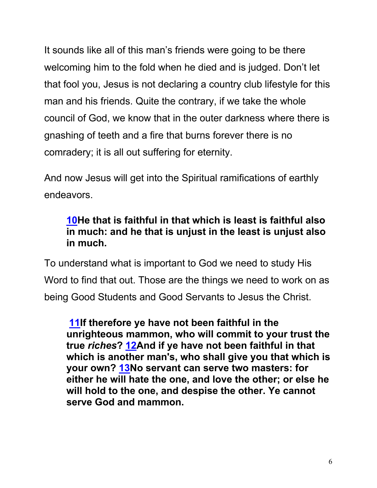It sounds like all of this man's friends were going to be there welcoming him to the fold when he died and is judged. Don't let that fool you, Jesus is not declaring a country club lifestyle for this man and his friends. Quite the contrary, if we take the whole council of God, we know that in the outer darkness where there is gnashing of teeth and a fire that burns forever there is no comradery; it is all out suffering for eternity.

And now Jesus will get into the Spiritual ramifications of earthly endeavors.

## **10He that is faithful in that which is least is faithful also in much: and he that is unjust in the least is unjust also in much.**

To understand what is important to God we need to study His Word to find that out. Those are the things we need to work on as being Good Students and Good Servants to Jesus the Christ.

**11If therefore ye have not been faithful in the unrighteous mammon, who will commit to your trust the true** *riches***? 12And if ye have not been faithful in that which is another man's, who shall give you that which is your own? 13No servant can serve two masters: for either he will hate the one, and love the other; or else he will hold to the one, and despise the other. Ye cannot serve God and mammon.**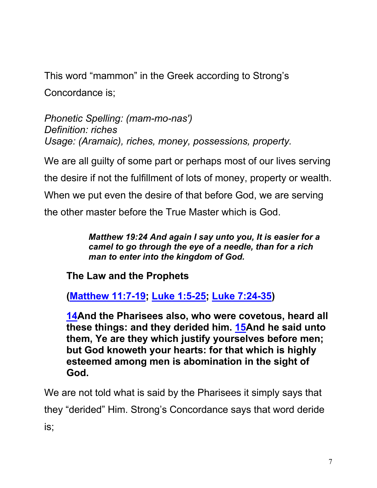This word "mammon" in the Greek according to Strong's

Concordance is;

*Phonetic Spelling: (mam-mo-nas') Definition: riches Usage: (Aramaic), riches, money, possessions, property.*

We are all guilty of some part or perhaps most of our lives serving the desire if not the fulfillment of lots of money, property or wealth. When we put even the desire of that before God, we are serving the other master before the True Master which is God.

> *Matthew 19:24 And again I say unto you, It is easier for a camel to go through the eye of a needle, than for a rich man to enter into the kingdom of God.*

**The Law and the Prophets**

**(Matthew 11:7-19; Luke 1:5-25; Luke 7:24-35)**

**14And the Pharisees also, who were covetous, heard all these things: and they derided him. 15And he said unto them, Ye are they which justify yourselves before men; but God knoweth your hearts: for that which is highly esteemed among men is abomination in the sight of God.**

We are not told what is said by the Pharisees it simply says that they "derided" Him. Strong's Concordance says that word deride is;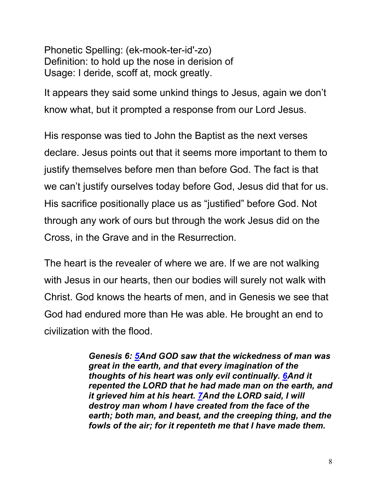Phonetic Spelling: (ek-mook-ter-id'-zo) Definition: to hold up the nose in derision of Usage: I deride, scoff at, mock greatly.

It appears they said some unkind things to Jesus, again we don't know what, but it prompted a response from our Lord Jesus.

His response was tied to John the Baptist as the next verses declare. Jesus points out that it seems more important to them to justify themselves before men than before God. The fact is that we can't justify ourselves today before God, Jesus did that for us. His sacrifice positionally place us as "justified" before God. Not through any work of ours but through the work Jesus did on the Cross, in the Grave and in the Resurrection.

The heart is the revealer of where we are. If we are not walking with Jesus in our hearts, then our bodies will surely not walk with Christ. God knows the hearts of men, and in Genesis we see that God had endured more than He was able. He brought an end to civilization with the flood.

> *Genesis 6: 5And GOD saw that the wickedness of man was great in the earth, and that every imagination of the thoughts of his heart was only evil continually. 6And it repented the LORD that he had made man on the earth, and it grieved him at his heart. 7And the LORD said, I will destroy man whom I have created from the face of the earth; both man, and beast, and the creeping thing, and the fowls of the air; for it repenteth me that I have made them.*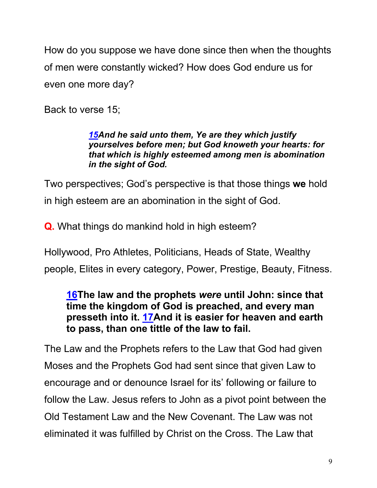How do you suppose we have done since then when the thoughts of men were constantly wicked? How does God endure us for even one more day?

Back to verse 15;

#### *15And he said unto them, Ye are they which justify yourselves before men; but God knoweth your hearts: for that which is highly esteemed among men is abomination in the sight of God.*

Two perspectives; God's perspective is that those things **we** hold in high esteem are an abomination in the sight of God.

**Q.** What things do mankind hold in high esteem?

Hollywood, Pro Athletes, Politicians, Heads of State, Wealthy people, Elites in every category, Power, Prestige, Beauty, Fitness.

## **16The law and the prophets** *were* **until John: since that time the kingdom of God is preached, and every man presseth into it. 17And it is easier for heaven and earth to pass, than one tittle of the law to fail.**

The Law and the Prophets refers to the Law that God had given Moses and the Prophets God had sent since that given Law to encourage and or denounce Israel for its' following or failure to follow the Law. Jesus refers to John as a pivot point between the Old Testament Law and the New Covenant. The Law was not eliminated it was fulfilled by Christ on the Cross. The Law that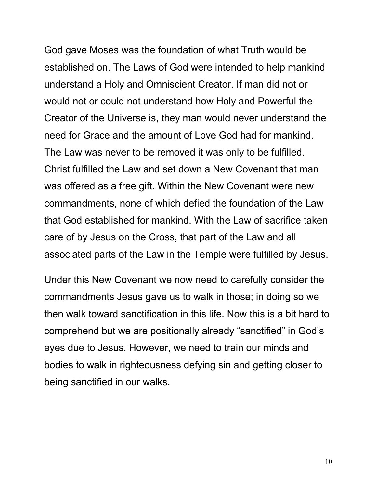God gave Moses was the foundation of what Truth would be established on. The Laws of God were intended to help mankind understand a Holy and Omniscient Creator. If man did not or would not or could not understand how Holy and Powerful the Creator of the Universe is, they man would never understand the need for Grace and the amount of Love God had for mankind. The Law was never to be removed it was only to be fulfilled. Christ fulfilled the Law and set down a New Covenant that man was offered as a free gift. Within the New Covenant were new commandments, none of which defied the foundation of the Law that God established for mankind. With the Law of sacrifice taken care of by Jesus on the Cross, that part of the Law and all associated parts of the Law in the Temple were fulfilled by Jesus.

Under this New Covenant we now need to carefully consider the commandments Jesus gave us to walk in those; in doing so we then walk toward sanctification in this life. Now this is a bit hard to comprehend but we are positionally already "sanctified" in God's eyes due to Jesus. However, we need to train our minds and bodies to walk in righteousness defying sin and getting closer to being sanctified in our walks.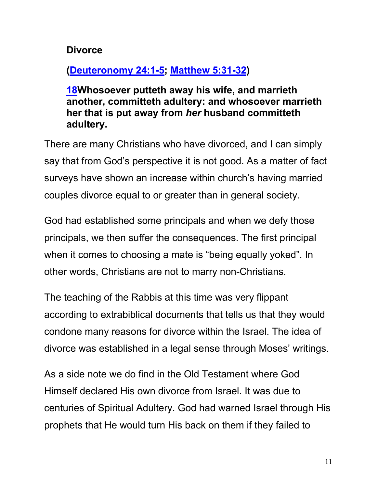### **Divorce**

# **(Deuteronomy 24:1-5; Matthew 5:31-32)**

**18Whosoever putteth away his wife, and marrieth another, committeth adultery: and whosoever marrieth her that is put away from** *her* **husband committeth adultery.**

There are many Christians who have divorced, and I can simply say that from God's perspective it is not good. As a matter of fact surveys have shown an increase within church's having married couples divorce equal to or greater than in general society.

God had established some principals and when we defy those principals, we then suffer the consequences. The first principal when it comes to choosing a mate is "being equally yoked". In other words, Christians are not to marry non-Christians.

The teaching of the Rabbis at this time was very flippant according to extrabiblical documents that tells us that they would condone many reasons for divorce within the Israel. The idea of divorce was established in a legal sense through Moses' writings.

As a side note we do find in the Old Testament where God Himself declared His own divorce from Israel. It was due to centuries of Spiritual Adultery. God had warned Israel through His prophets that He would turn His back on them if they failed to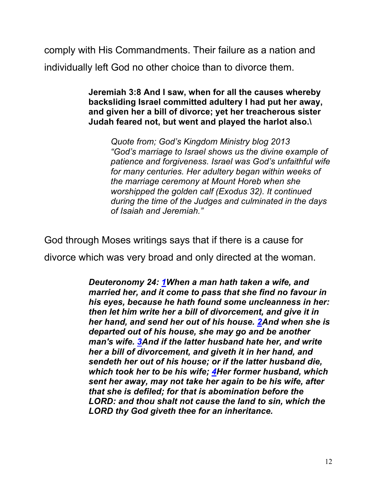comply with His Commandments. Their failure as a nation and individually left God no other choice than to divorce them.

> **Jeremiah 3:8 And I saw, when for all the causes whereby backsliding Israel committed adultery I had put her away, and given her a bill of divorce; yet her treacherous sister Judah feared not, but went and played the harlot also.\**

*Quote from; God's Kingdom Ministry blog 2013 "God's marriage to Israel shows us the divine example of patience and forgiveness. Israel was God's unfaithful wife for many centuries. Her adultery began within weeks of the marriage ceremony at Mount Horeb when she worshipped the golden calf (Exodus 32). It continued during the time of the Judges and culminated in the days of Isaiah and Jeremiah."*

God through Moses writings says that if there is a cause for divorce which was very broad and only directed at the woman.

> *Deuteronomy 24: 1When a man hath taken a wife, and married her, and it come to pass that she find no favour in his eyes, because he hath found some uncleanness in her: then let him write her a bill of divorcement, and give it in her hand, and send her out of his house. 2And when she is departed out of his house, she may go and be another man's wife. 3And if the latter husband hate her, and write her a bill of divorcement, and giveth it in her hand, and sendeth her out of his house; or if the latter husband die, which took her to be his wife; 4Her former husband, which sent her away, may not take her again to be his wife, after that she is defiled; for that is abomination before the LORD: and thou shalt not cause the land to sin, which the LORD thy God giveth thee for an inheritance.*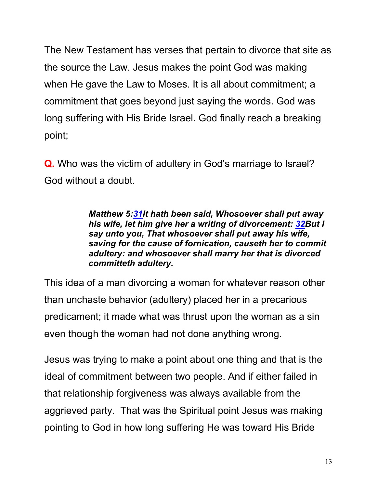The New Testament has verses that pertain to divorce that site as the source the Law. Jesus makes the point God was making when He gave the Law to Moses. It is all about commitment; a commitment that goes beyond just saying the words. God was long suffering with His Bride Israel. God finally reach a breaking point;

**Q.** Who was the victim of adultery in God's marriage to Israel? God without a doubt.

> *Matthew 5:31It hath been said, Whosoever shall put away his wife, let him give her a writing of divorcement: 32But I say unto you, That whosoever shall put away his wife, saving for the cause of fornication, causeth her to commit adultery: and whosoever shall marry her that is divorced committeth adultery.*

This idea of a man divorcing a woman for whatever reason other than unchaste behavior (adultery) placed her in a precarious predicament; it made what was thrust upon the woman as a sin even though the woman had not done anything wrong.

Jesus was trying to make a point about one thing and that is the ideal of commitment between two people. And if either failed in that relationship forgiveness was always available from the aggrieved party. That was the Spiritual point Jesus was making pointing to God in how long suffering He was toward His Bride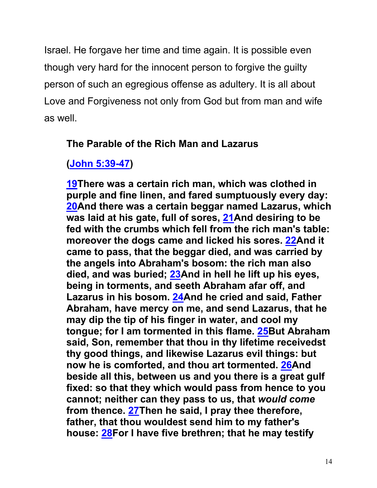Israel. He forgave her time and time again. It is possible even though very hard for the innocent person to forgive the guilty person of such an egregious offense as adultery. It is all about Love and Forgiveness not only from God but from man and wife as well.

### **The Parable of the Rich Man and Lazarus**

# **(John 5:39-47)**

**19There was a certain rich man, which was clothed in purple and fine linen, and fared sumptuously every day: 20And there was a certain beggar named Lazarus, which was laid at his gate, full of sores, 21And desiring to be fed with the crumbs which fell from the rich man's table: moreover the dogs came and licked his sores. 22And it came to pass, that the beggar died, and was carried by the angels into Abraham's bosom: the rich man also died, and was buried; 23And in hell he lift up his eyes, being in torments, and seeth Abraham afar off, and Lazarus in his bosom. 24And he cried and said, Father Abraham, have mercy on me, and send Lazarus, that he may dip the tip of his finger in water, and cool my tongue; for I am tormented in this flame. 25But Abraham said, Son, remember that thou in thy lifetime receivedst thy good things, and likewise Lazarus evil things: but now he is comforted, and thou art tormented. 26And beside all this, between us and you there is a great gulf fixed: so that they which would pass from hence to you cannot; neither can they pass to us, that** *would come* **from thence. 27Then he said, I pray thee therefore, father, that thou wouldest send him to my father's house: 28For I have five brethren; that he may testify**